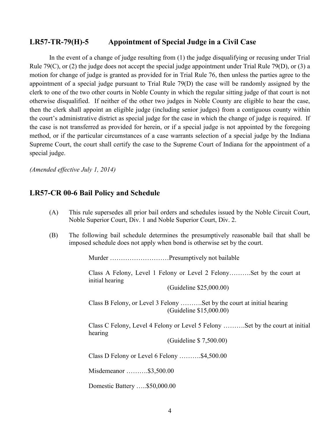## **LR57-TR-79(H)-5 Appointment of Special Judge in a Civil Case**

In the event of a change of judge resulting from (1) the judge disqualifying or recusing under Trial Rule 79(C), or (2) the judge does not accept the special judge appointment under Trial Rule 79(D), or (3) a motion for change of judge is granted as provided for in Trial Rule 76, then unless the parties agree to the appointment of a special judge pursuant to Trial Rule 79(D) the case will be randomly assigned by the clerk to one of the two other courts in Noble County in which the regular sitting judge of that court is not otherwise disqualified. If neither of the other two judges in Noble County are eligible to hear the case, then the clerk shall appoint an eligible judge (including senior judges) from a contiguous county within the court's administrative district as special judge for the case in which the change of judge is required. If the case is not transferred as provided for herein, or if a special judge is not appointed by the foregoing method, or if the particular circumstances of a case warrants selection of a special judge by the Indiana Supreme Court, the court shall certify the case to the Supreme Court of Indiana for the appointment of a special judge.

*(Amended effective July 1, 2014)*

## **LR57-CR 00-6 Bail Policy and Schedule**

- (A) This rule supersedes all prior bail orders and schedules issued by the Noble Circuit Court, Noble Superior Court, Div. 1 and Noble Superior Court, Div. 2.
- (B) The following bail schedule determines the presumptively reasonable bail that shall be imposed schedule does not apply when bond is otherwise set by the court.

Murder ………………………Presumptively not bailable

Class A Felony, Level 1 Felony or Level 2 Felony……….Set by the court at initial hearing

(Guideline \$25,000.00)

Class B Felony, or Level 3 Felony ……….Set by the court at initial hearing (Guideline \$15,000.00)

Class C Felony, Level 4 Felony or Level 5 Felony ……….Set by the court at initial hearing

(Guideline \$ 7,500.00)

Class D Felony or Level 6 Felony ……….\$4,500.00

Misdemeanor ……….\$3,500.00

Domestic Battery …..\$50,000.00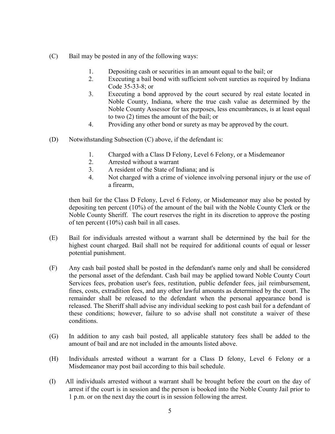- (C) Bail may be posted in any of the following ways:
	- 1. Depositing cash or securities in an amount equal to the bail; or
	- 2. Executing a bail bond with sufficient solvent sureties as required by Indiana Code 35-33-8; or
	- 3. Executing a bond approved by the court secured by real estate located in Noble County, Indiana, where the true cash value as determined by the Noble County Assessor for tax purposes, less encumbrances, is at least equal to two (2) times the amount of the bail; or
	- 4. Providing any other bond or surety as may be approved by the court.
- (D) Notwithstanding Subsection (C) above, if the defendant is:
	- 1. Charged with a Class D Felony, Level 6 Felony, or a Misdemeanor
	- 2. Arrested without a warrant
	- 3. A resident of the State of Indiana; and is
	- 4. Not charged with a crime of violence involving personal injury or the use of a firearm,

then bail for the Class D Felony, Level 6 Felony, or Misdemeanor may also be posted by depositing ten percent (10%) of the amount of the bail with the Noble County Clerk or the Noble County Sheriff. The court reserves the right in its discretion to approve the posting of ten percent (10%) cash bail in all cases.

- (E) Bail for individuals arrested without a warrant shall be determined by the bail for the highest count charged. Bail shall not be required for additional counts of equal or lesser potential punishment.
- (F) Any cash bail posted shall be posted in the defendant's name only and shall be considered the personal asset of the defendant. Cash bail may be applied toward Noble County Court Services fees, probation user's fees, restitution, public defender fees, jail reimbursement, fines, costs, extradition fees, and any other lawful amounts as determined by the court. The remainder shall be released to the defendant when the personal appearance bond is released. The Sheriff shall advise any individual seeking to post cash bail for a defendant of these conditions; however, failure to so advise shall not constitute a waiver of these conditions.
- (G) In addition to any cash bail posted, all applicable statutory fees shall be added to the amount of bail and are not included in the amounts listed above.
- (H) Individuals arrested without a warrant for a Class D felony, Level 6 Felony or a Misdemeanor may post bail according to this bail schedule.
- (I) All individuals arrested without a warrant shall be brought before the court on the day of arrest if the court is in session and the person is booked into the Noble County Jail prior to 1 p.m. or on the next day the court is in session following the arrest.